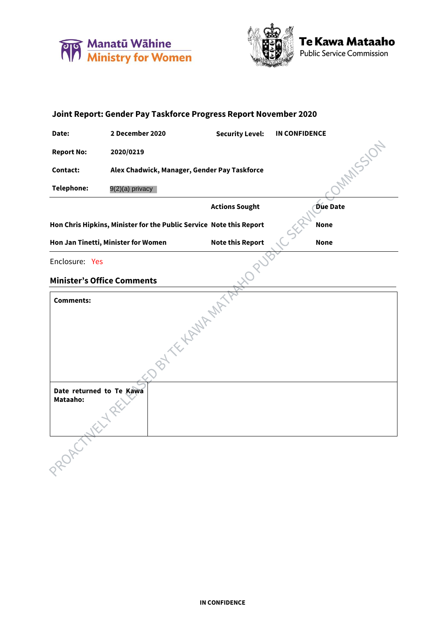





| Joint Report: Gender Pay Taskforce Progress Report November 2020                   |                                              |                         |                      |  |  |  |
|------------------------------------------------------------------------------------|----------------------------------------------|-------------------------|----------------------|--|--|--|
| Date:                                                                              | 2 December 2020                              | <b>Security Level:</b>  | <b>IN CONFIDENCE</b> |  |  |  |
| <b>Report No:</b>                                                                  | 2020/0219                                    |                         | IMAISSON             |  |  |  |
| <b>Contact:</b>                                                                    | Alex Chadwick, Manager, Gender Pay Taskforce |                         |                      |  |  |  |
| <b>Telephone:</b>                                                                  | 9(2)(a) privacy                              |                         |                      |  |  |  |
|                                                                                    |                                              | <b>Actions Sought</b>   | <b>Due Date</b>      |  |  |  |
| Hon Chris Hipkins, Minister for the Public Service Note this Report<br><b>None</b> |                                              |                         |                      |  |  |  |
|                                                                                    | Hon Jan Tinetti, Minister for Women          | <b>Note this Report</b> | <b>None</b>          |  |  |  |
| Enclosure: Yes                                                                     |                                              |                         |                      |  |  |  |
| <b>Minister's Office Comments</b>                                                  |                                              |                         |                      |  |  |  |
| <b>Comments:</b>                                                                   |                                              |                         |                      |  |  |  |
|                                                                                    |                                              |                         |                      |  |  |  |
|                                                                                    |                                              |                         |                      |  |  |  |
|                                                                                    |                                              | <b>BLACKWAMPIN</b>      |                      |  |  |  |
| Date returned to Te Kawa<br>Mataaho:<br>LIS                                        |                                              |                         |                      |  |  |  |
|                                                                                    |                                              |                         |                      |  |  |  |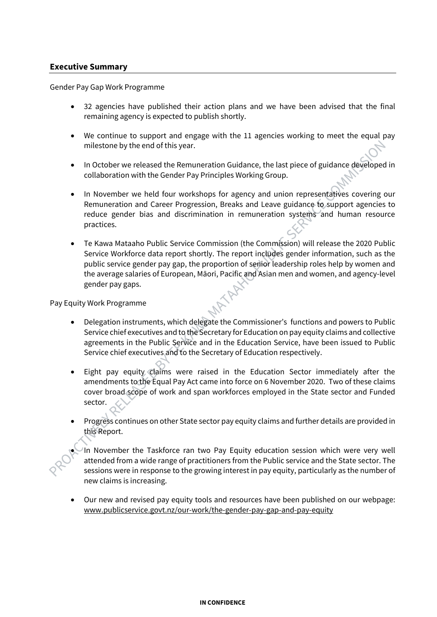## **Executive Summary**

Gender Pay Gap Work Programme

- 32 agencies have published their action plans and we have been advised that the final remaining agency is expected to publish shortly.
- We continue to support and engage with the 11 agencies working to meet the equal pay milestone by the end of this year.
- In October we released the Remuneration Guidance, the last piece of guidance developed in collaboration with the Gender Pay Principles Working Group.
- In November we held four workshops for agency and union representatives covering our Remuneration and Career Progression, Breaks and Leave guidance to support agencies to reduce gender bias and discrimination in remuneration systems and human resource practices.
- Te Kawa Mataaho Public Service Commission (the Commission) will release the 2020 Public Service Workforce data report shortly. The report includes gender information, such as the public service gender pay gap, the proportion of senior leadership roles help by women and the average salaries of European, Māori, Pacific and Asian men and women, and agency-level gender pay gaps.

Pay Equity Work Programme

- Delegation instruments, which delegate the Commissioner's functions and powers to Public Service chief executives and to the Secretary for Education on pay equity claims and collective agreements in the Public Service and in the Education Service, have been issued to Public Service chief executives and to the Secretary of Education respectively.
- Eight pay equity claims were raised in the Education Sector immediately after the amendments to the Equal Pay Act came into force on 6 November 2020. Two of these claims cover broad scope of work and span workforces employed in the State sector and Funded sector.
- Progress continues on other State sector pay equity claims and further details are provided in this Report.
- In November the Taskforce ran two Pay Equity education session which were very well attended from a wide range of practitioners from the Public service and the State sector. The sessions were in response to the growing interest in pay equity, particularly as the number of new claims is increasing.
- Our new and revised pay equity tools and resources have been published on our webpage: www.publicservice.govt.nz/our-work/the-gender-pay-gap-and-pay-equity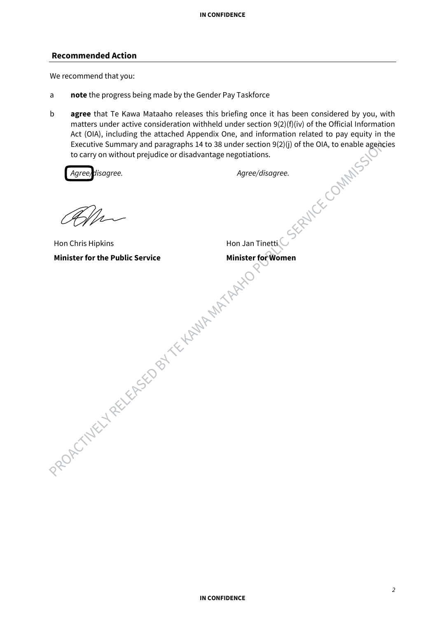## **Recommended Action**

We recommend that you:

- a **note** the progress being made by the Gender Pay Taskforce
- b **agree** that Te Kawa Mataaho releases this briefing once it has been considered by you, with matters under active consideration withheld under section 9(2)(f)(iv) of the Official Information Act (OIA), including the attached Appendix One, and information related to pay equity in the Executive Summary and paragraphs 14 to 38 under section 9(2)(j) of the OIA, to enable agencies to carry on without prejudice or Executive Summary and paragraphs 14 to 38 under section 9(2)(j) of the OIA, to enable agencies to carry on without prejudice or disadvantage negotiations.

Agree disagree.

*Agree/disagree. Agree/disagree.*

Hon Chris Hipkins PROPOTATELY RELEASED BY TELLAMP MATARING

Hon Jan Tinetti **Minister for Women**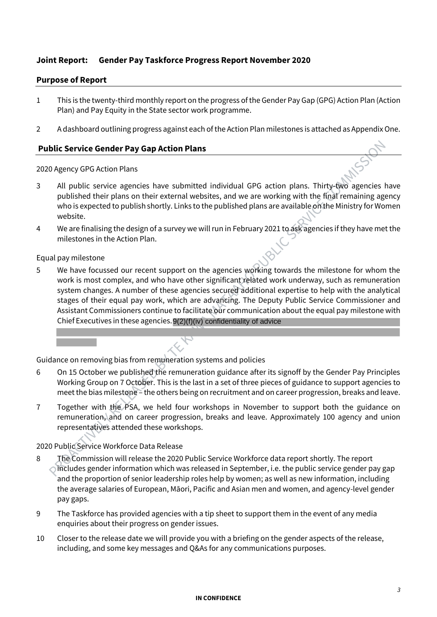## **Joint Report: Gender Pay Taskforce Progress Report November 2020**

## **Purpose of Report**

- 1 This is the twenty-third monthly report on the progress of the Gender Pay Gap (GPG) Action Plan (Action Plan) and Pay Equity in the State sector work programme.
- 2 A dashboard outlining progress against each of the Action Plan milestones is attached as Appendix One.

## **Public Service Gender Pay Gap Action Plans**

2020 Agency GPG Action Plans

- 3 All public service agencies have submitted individual GPG action plans. Thirty-two agencies have published their plans on their external websites, and we are working with the final remaining agency who is expected to publish shortly. Links to the published plans are available on the Ministry for Women website.
- 4 We are finalising the design of a survey we will run in February 2021 to ask agencies if they have met the milestones in the Action Plan.

## Equal pay milestone

5 We have focussed our recent support on the agencies working towards the milestone for whom the work is most complex, and who have other significant related work underway, such as remuneration system changes. A number of these agencies secured additional expertise to help with the analytical stages of their equal pay work, which are advancing. The Deputy Public Service Commissioner and Assistant Commissioners continue to facilitate our communication about the equal pay milestone with Chief Executives in these agencies. 9(2)(f)(iv) confidentiality of advice

Guidance on removing bias from remuneration systems and policies

- 6 On 15 October we published the remuneration guidance after its signoff by the Gender Pay Principles Working Group on 7 October. This is the last in a set of three pieces of guidance to support agencies to meet the bias milestone – the others being on recruitment and on career progression, breaks and leave.
- 7 Together with the PSA, we held four workshops in November to support both the guidance on remuneration, and on career progression, breaks and leave. Approximately 100 agency and union representatives attended these workshops.

## 2020 Public Service Workforce Data Release

- 8 The Commission will release the 2020 Public Service Workforce data report shortly. The report includes gender information which was released in September, i.e. the public service gender pay gap and the proportion of senior leadership roles help by women; as well as new information, including the average salaries of European, Māori, Pacific and Asian men and women, and agency-level gender pay gaps.
- 9 The Taskforce has provided agencies with a tip sheet to support them in the event of any media enquiries about their progress on gender issues.
- 10 Closer to the release date we will provide you with a briefing on the gender aspects of the release, including, and some key messages and Q&As for any communications purposes.

### **IN CONFIDENCE**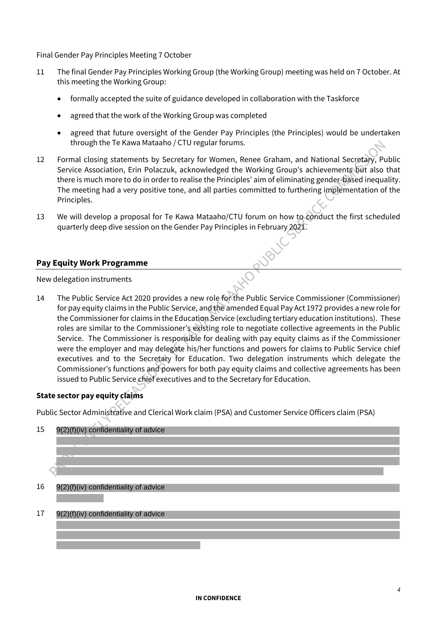Final Gender Pay Principles Meeting 7 October

- 11 The final Gender Pay Principles Working Group (the Working Group) meeting was held on 7 October. At this meeting the Working Group:
	- formally accepted the suite of guidance developed in collaboration with the Taskforce
	- agreed that the work of the Working Group was completed
	- agreed that future oversight of the Gender Pay Principles (the Principles) would be undertaken through the Te Kawa Mataaho / CTU regular forums.
- 12 Formal closing statements by Secretary for Women, Renee Graham, and National Secretary, Public Service Association, Erin Polaczuk, acknowledged the Working Group's achievements but also that there is much more to do in order to realise the Principles' aim of eliminating gender-based inequality. The meeting had a very positive tone, and all parties committed to furthering implementation of the Principles.
- 13 We will develop a proposal for Te Kawa Mataaho/CTU forum on how to conduct the first scheduled quarterly deep dive session on the Gender Pay Principles in February 2021.

## **Pay Equity Work Programme**

New delegation instruments

14 The Public Service Act 2020 provides a new role for the Public Service Commissioner (Commissioner) for pay equity claims in the Public Service, and the amended Equal Pay Act 1972 provides a new role for the Commissioner for claims in the Education Service (excluding tertiary education institutions). These roles are similar to the Commissioner's existing role to negotiate collective agreements in the Public Service. The Commissioner is responsible for dealing with pay equity claims as if the Commissioner were the employer and may delegate his/her functions and powers for claims to Public Service chief executives and to the Secretary for Education. Two delegation instruments which delegate the Commissioner's functions and powers for both pay equity claims and collective agreements has been issued to Public Service chief executives and to the Secretary for Education.

## **State sector pay equity claims**

Public Sector Administrative and Clerical Work claim (PSA) and Customer Service Officers claim (PSA)



#### 17 9(2)(f)(iv) confidentiality of advice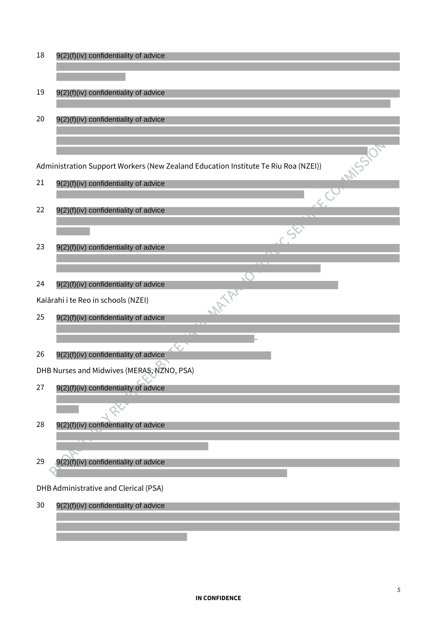18 9(2)(f)(iv) confidentiality of advice 9(2)(f)(iv) confidentiality of advice 19 20 9(2)(f)(iv) confidentiality of advice **MARSSON** Administration Support Workers (New Zealand Education Institute Te Riu Roa (NZEI)) 21 9(2)(f)(iv) confidentiality of advice  $\overline{\mathcal{L}}$ 22 9(2)(f)(iv) confidentiality of advice  $\Im$ 23 9(2)(f)(iv) confidentiality of advice S **MATA** 24 9(2)(f)(iv) confidentiality of advice Kaiārahi i te Reo in schools (NZEI) 25 9(2)(f)(iv) confidentiality of advice . 26 9(2)(f)(iv) confidentiality of advice DHB Nurses and Midwives (MERAS, NZNO, PSA) 27 9(2)(f)(iv) confidentiality of advice 28 9(2)(f)(iv) confidentiality of advice 29 9(2)(f)(iv) confidentiality of advice DHB Administrative and Clerical (PSA) 30 9(2)(f)(iv) confidentiality of advice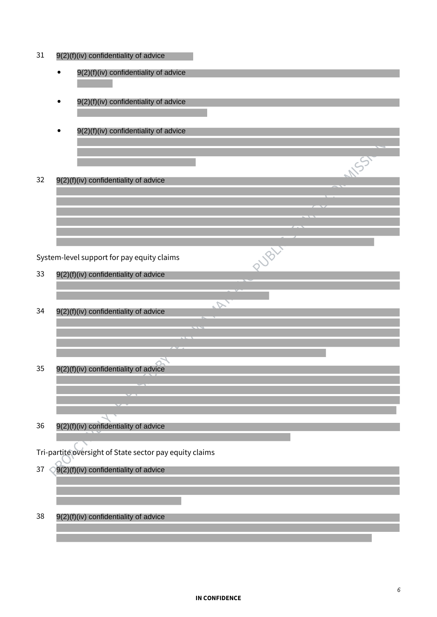| 31 | 9(2)(f)(iv) confidentiality of advice                   |  |
|----|---------------------------------------------------------|--|
|    | 9(2)(f)(iv) confidentiality of advice                   |  |
|    | 9(2)(f)(iv) confidentiality of advice                   |  |
|    |                                                         |  |
|    | 9(2)(f)(iv) confidentiality of advice                   |  |
|    |                                                         |  |
|    |                                                         |  |
| 32 | 9(2)(f)(iv) confidentiality of advice                   |  |
|    |                                                         |  |
|    |                                                         |  |
|    |                                                         |  |
|    | System-level support for pay equity claims              |  |
| 33 | 9(2)(f)(iv) confidentiality of advice                   |  |
|    |                                                         |  |
| 34 | $\sim$                                                  |  |
|    | 9(2)(f)(iv) confidentiality of advice                   |  |
|    |                                                         |  |
|    |                                                         |  |
| 35 | 9(2)(f)(iv) confidentiality of advice                   |  |
|    |                                                         |  |
|    |                                                         |  |
| 36 | 9(2)(f)(iv) confidentiality of advice                   |  |
|    |                                                         |  |
|    | Tri-partite oversight of State sector pay equity claims |  |
| 37 | 9(2)(f)(iv) confidentiality of advice                   |  |
|    |                                                         |  |
| 38 | 9(2)(f)(iv) confidentiality of advice                   |  |
|    |                                                         |  |

## **IN CONFIDENCE**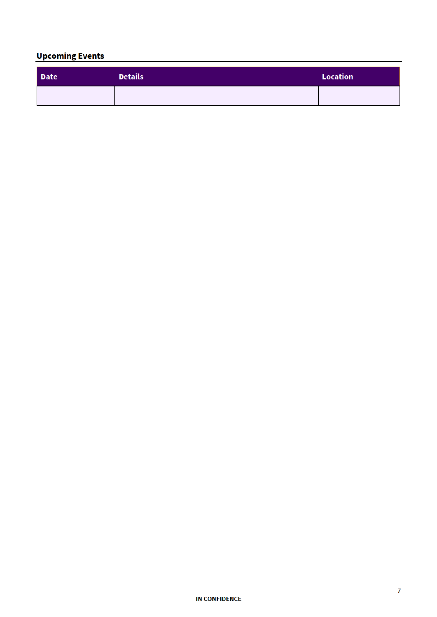# Upcoming Events

| Date | <b>Details</b> | Location |
|------|----------------|----------|
|      |                |          |